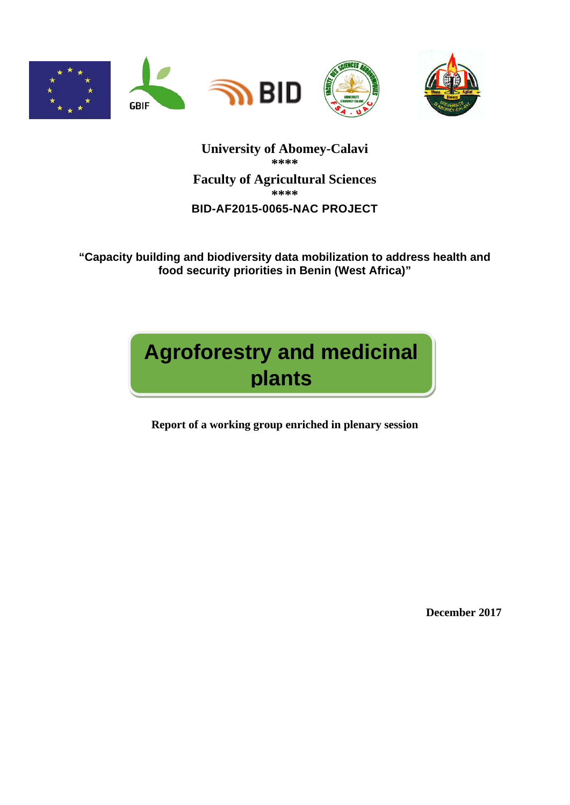

**University of Abomey-Calavi \*\*\*\* Faculty of Agricultural Sciences \*\*\*\* BID-AF2015-0065-NAC PROJECT** 

**"Capacity building and biodiversity data mobilization to address health and food security priorities in Benin (West Africa)"**

# **Agroforestry and medicinal plants**

**Report of a working group enriched in plenary session**

**December 2017**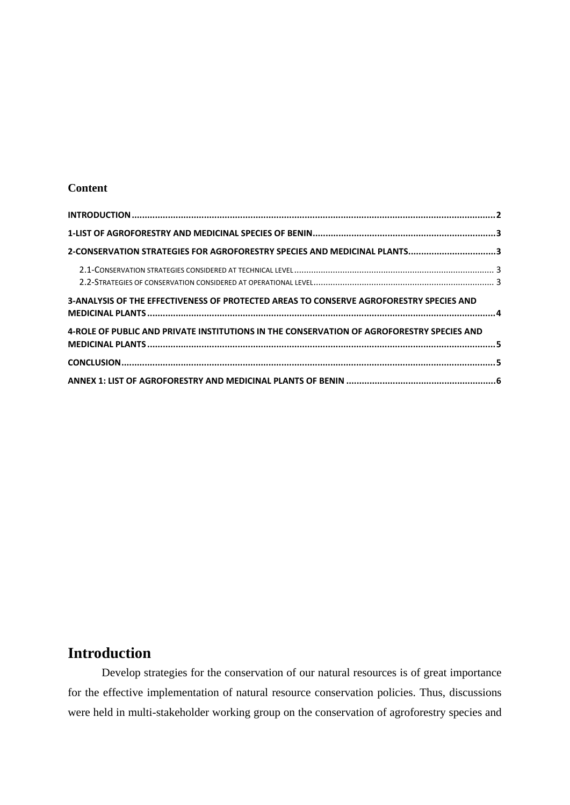#### **Content**

| 2-CONSERVATION STRATEGIES FOR AGROFORESTRY SPECIES AND MEDICINAL PLANTS3                  |  |
|-------------------------------------------------------------------------------------------|--|
|                                                                                           |  |
|                                                                                           |  |
| 3-ANALYSIS OF THE EFFECTIVENESS OF PROTECTED AREAS TO CONSERVE AGROFORESTRY SPECIES AND   |  |
| 4-ROLE OF PUBLIC AND PRIVATE INSTITUTIONS IN THE CONSERVATION OF AGROFORESTRY SPECIES AND |  |
|                                                                                           |  |
|                                                                                           |  |

#### <span id="page-1-0"></span>**Introduction**

Develop strategies for the conservation of our natural resources is of great importance for the effective implementation of natural resource conservation policies. Thus, discussions were held in multi-stakeholder working group on the conservation of agroforestry species and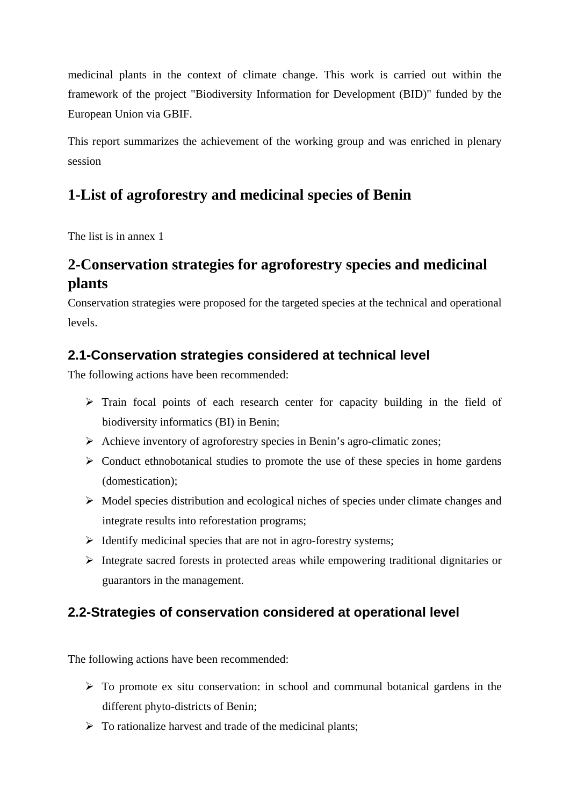medicinal plants in the context of climate change. This work is carried out within the framework of the project "Biodiversity Information for Development (BID)" funded by the European Union via GBIF.

This report summarizes the achievement of the working group and was enriched in plenary session

# <span id="page-2-0"></span>**1-List of agroforestry and medicinal species of Benin**

The list is in annex 1

# <span id="page-2-1"></span>**2-Conservation strategies for agroforestry species and medicinal plants**

Conservation strategies were proposed for the targeted species at the technical and operational levels.

#### <span id="page-2-2"></span>**2.1-Conservation strategies considered at technical level**

The following actions have been recommended:

- $\triangleright$  Train focal points of each research center for capacity building in the field of biodiversity informatics (BI) in Benin;
- $\triangleright$  Achieve inventory of agroforestry species in Benin's agro-climatic zones;
- $\triangleright$  Conduct ethnobotanical studies to promote the use of these species in home gardens (domestication);
- $\triangleright$  Model species distribution and ecological niches of species under climate changes and integrate results into reforestation programs;
- $\triangleright$  Identify medicinal species that are not in agro-forestry systems;
- $\triangleright$  Integrate sacred forests in protected areas while empowering traditional dignitaries or guarantors in the management.

#### <span id="page-2-3"></span>**2.2-Strategies of conservation considered at operational level**

The following actions have been recommended:

- $\triangleright$  To promote ex situ conservation: in school and communal botanical gardens in the different phyto-districts of Benin;
- $\triangleright$  To rationalize harvest and trade of the medicinal plants;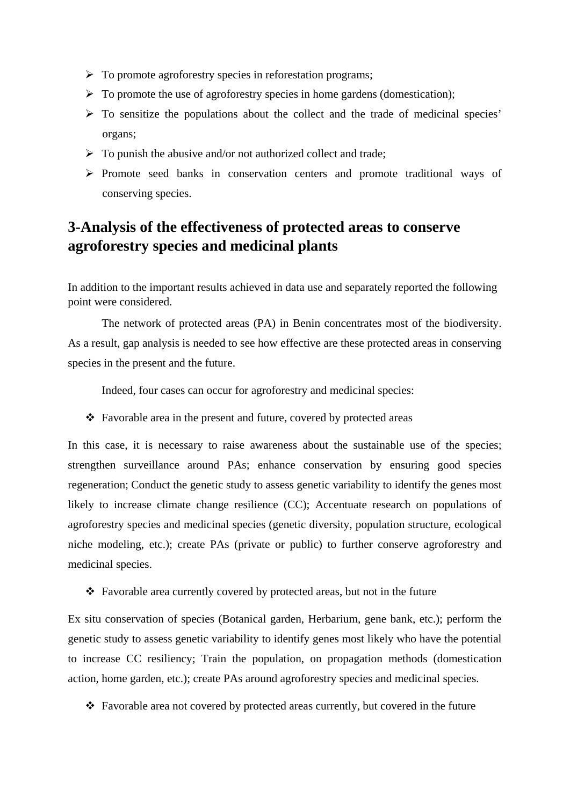- $\triangleright$  To promote agroforestry species in reforestation programs;
- $\triangleright$  To promote the use of agroforestry species in home gardens (domestication);
- $\triangleright$  To sensitize the populations about the collect and the trade of medicinal species' organs;
- $\triangleright$  To punish the abusive and/or not authorized collect and trade;
- $\triangleright$  Promote seed banks in conservation centers and promote traditional ways of conserving species.

### <span id="page-3-0"></span>**3-Analysis of the effectiveness of protected areas to conserve agroforestry species and medicinal plants**

In addition to the important results achieved in data use and separately reported the following point were considered.

The network of protected areas (PA) in Benin concentrates most of the biodiversity. As a result, gap analysis is needed to see how effective are these protected areas in conserving species in the present and the future.

Indeed, four cases can occur for agroforestry and medicinal species:

 $\triangle$  Favorable area in the present and future, covered by protected areas

In this case, it is necessary to raise awareness about the sustainable use of the species; strengthen surveillance around PAs; enhance conservation by ensuring good species regeneration; Conduct the genetic study to assess genetic variability to identify the genes most likely to increase climate change resilience (CC); Accentuate research on populations of agroforestry species and medicinal species (genetic diversity, population structure, ecological niche modeling, etc.); create PAs (private or public) to further conserve agroforestry and medicinal species.

Favorable area currently covered by protected areas, but not in the future

Ex situ conservation of species (Botanical garden, Herbarium, gene bank, etc.); perform the genetic study to assess genetic variability to identify genes most likely who have the potential to increase CC resiliency; Train the population, on propagation methods (domestication action, home garden, etc.); create PAs around agroforestry species and medicinal species.

Favorable area not covered by protected areas currently, but covered in the future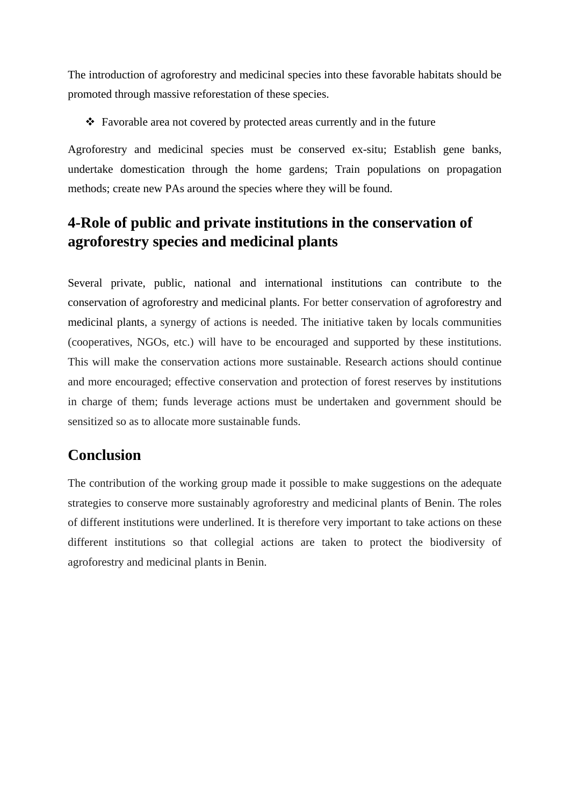The introduction of agroforestry and medicinal species into these favorable habitats should be promoted through massive reforestation of these species.

Favorable area not covered by protected areas currently and in the future

Agroforestry and medicinal species must be conserved ex-situ; Establish gene banks, undertake domestication through the home gardens; Train populations on propagation methods; create new PAs around the species where they will be found.

# <span id="page-4-0"></span>**4-Role of public and private institutions in the conservation of agroforestry species and medicinal plants**

Several private, public, national and international institutions can contribute to the conservation of agroforestry and medicinal plants. For better conservation of agroforestry and medicinal plants, a synergy of actions is needed. The initiative taken by locals communities (cooperatives, NGOs, etc.) will have to be encouraged and supported by these institutions. This will make the conservation actions more sustainable. Research actions should continue and more encouraged; effective conservation and protection of forest reserves by institutions in charge of them; funds leverage actions must be undertaken and government should be sensitized so as to allocate more sustainable funds.

#### <span id="page-4-1"></span>**Conclusion**

The contribution of the working group made it possible to make suggestions on the adequate strategies to conserve more sustainably agroforestry and medicinal plants of Benin. The roles of different institutions were underlined. It is therefore very important to take actions on these different institutions so that collegial actions are taken to protect the biodiversity of agroforestry and medicinal plants in Benin.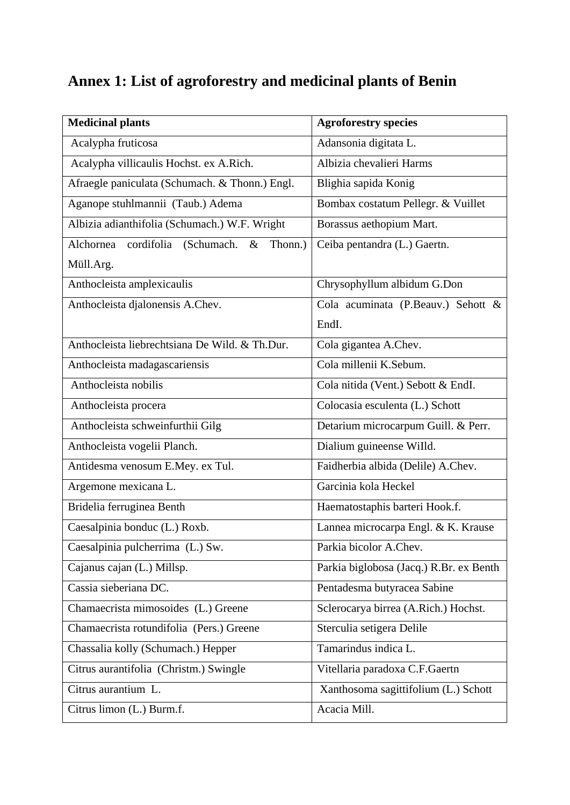# <span id="page-5-0"></span>**Annex 1: List of agroforestry and medicinal plants of Benin**

| <b>Medicinal plants</b>                                  | <b>Agroforestry species</b>             |
|----------------------------------------------------------|-----------------------------------------|
| Acalypha fruticosa                                       | Adansonia digitata L.                   |
| Acalypha villicaulis Hochst. ex A.Rich.                  | Albizia chevalieri Harms                |
| Afraegle paniculata (Schumach. & Thonn.) Engl.           | Blighia sapida Konig                    |
| Aganope stuhlmannii (Taub.) Adema                        | Bombax costatum Pellegr. & Vuillet      |
| Albizia adianthifolia (Schumach.) W.F. Wright            | Borassus aethopium Mart.                |
| cordifolia<br>(Schumach.<br>Alchornea<br>Thonn.)<br>$\&$ | Ceiba pentandra (L.) Gaertn.            |
| Müll.Arg.                                                |                                         |
| Anthocleista amplexicaulis                               | Chrysophyllum albidum G.Don             |
| Anthocleista djalonensis A.Chev.                         | Cola acuminata (P.Beauv.) Sehott &      |
|                                                          | EndI.                                   |
| Anthocleista liebrechtsiana De Wild. & Th.Dur.           | Cola gigantea A.Chev.                   |
| Anthocleista madagascariensis                            | Cola millenii K.Sebum.                  |
| Anthocleista nobilis                                     | Cola nitida (Vent.) Sebott & EndI.      |
| Anthocleista procera                                     | Colocasia esculenta (L.) Schott         |
| Anthocleista schweinfurthii Gilg                         | Detarium microcarpum Guill. & Perr.     |
| Anthocleista vogelii Planch.                             | Dialium guineense Willd.                |
| Antidesma venosum E.Mey. ex Tul.                         | Faidherbia albida (Delile) A.Chev.      |
| Argemone mexicana L.                                     | Garcinia kola Heckel                    |
| Bridelia ferruginea Benth                                | Haematostaphis barteri Hook.f.          |
| Caesalpinia bonduc (L.) Roxb.                            | Lannea microcarpa Engl. & K. Krause     |
| Caesalpinia pulcherrima (L.) Sw.                         | Parkia bicolor A.Chev.                  |
| Cajanus cajan (L.) Millsp.                               | Parkia biglobosa (Jacq.) R.Br. ex Benth |
| Cassia sieberiana DC.                                    | Pentadesma butyracea Sabine             |
| Chamaecrista mimosoides (L.) Greene                      | Sclerocarya birrea (A.Rich.) Hochst.    |
| Chamaecrista rotundifolia (Pers.) Greene                 | Sterculia setigera Delile               |
| Chassalia kolly (Schumach.) Hepper                       | Tamarindus indica L.                    |
| Citrus aurantifolia (Christm.) Swingle                   | Vitellaria paradoxa C.F.Gaertn          |
| Citrus aurantium L.                                      | Xanthosoma sagittifolium (L.) Schott    |
| Citrus limon (L.) Burm.f.                                | Acacia Mill.                            |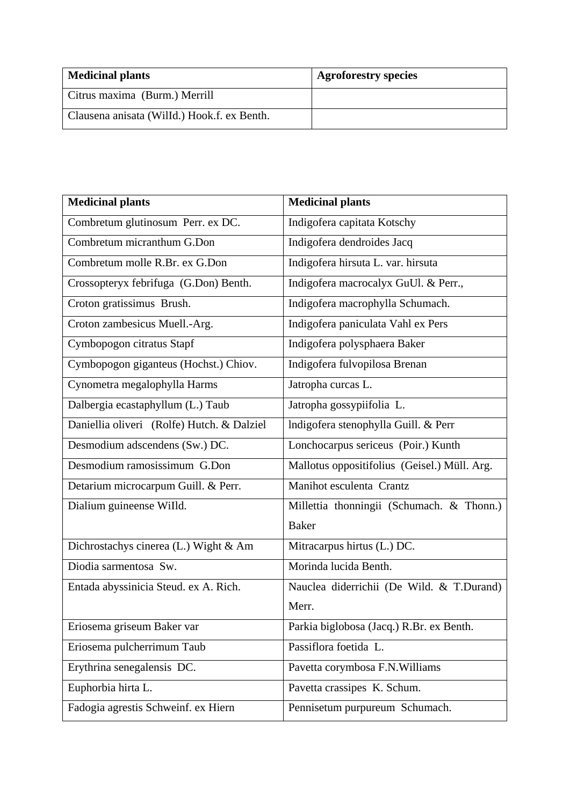| <b>Medicinal plants</b>                     | <b>Agroforestry species</b> |
|---------------------------------------------|-----------------------------|
| Citrus maxima (Burm.) Merrill               |                             |
| Clausena anisata (Willd.) Hook.f. ex Benth. |                             |

| <b>Medicinal plants</b>                    | <b>Medicinal plants</b>                      |
|--------------------------------------------|----------------------------------------------|
| Combretum glutinosum Perr. ex DC.          | Indigofera capitata Kotschy                  |
| Combretum micranthum G.Don                 | Indigofera dendroides Jacq                   |
| Combretum molle R.Br. ex G.Don             | Indigofera hirsuta L. var. hirsuta           |
| Crossopteryx febrifuga (G.Don) Benth.      | Indigofera macrocalyx GuUl. & Perr.,         |
| Croton gratissimus Brush.                  | Indigofera macrophylla Schumach.             |
| Croton zambesicus Muell.-Arg.              | Indigofera paniculata Vahl ex Pers           |
| Cymbopogon citratus Stapf                  | Indigofera polysphaera Baker                 |
| Cymbopogon giganteus (Hochst.) Chiov.      | Indigofera fulvopilosa Brenan                |
| Cynometra megalophylla Harms               | Jatropha curcas L.                           |
| Dalbergia ecastaphyllum (L.) Taub          | Jatropha gossypiifolia L.                    |
| Daniellia oliveri (Rolfe) Hutch. & Dalziel | Indigofera stenophylla Guill. & Perr         |
| Desmodium adscendens (Sw.) DC.             | Lonchocarpus sericeus (Poir.) Kunth          |
| Desmodium ramosissimum G.Don               | Mallotus oppositifolius (Geisel.) Müll. Arg. |
| Detarium microcarpum Guill. & Perr.        | Manihot esculenta Crantz                     |
| Dialium guineense Willd.                   | Millettia thonningii (Schumach. & Thonn.)    |
|                                            | <b>Baker</b>                                 |
| Dichrostachys cinerea (L.) Wight & Am      | Mitracarpus hirtus (L.) DC.                  |
| Diodia sarmentosa Sw.                      | Morinda lucida Benth.                        |
| Entada abyssinicia Steud. ex A. Rich.      | Nauclea diderrichii (De Wild. & T.Durand)    |
|                                            | Merr.                                        |
| Eriosema griseum Baker var                 | Parkia biglobosa (Jacq.) R.Br. ex Benth.     |
| Eriosema pulcherrimum Taub                 | Passiflora foetida L.                        |
| Erythrina senegalensis DC.                 | Pavetta corymbosa F.N. Williams              |
| Euphorbia hirta L.                         | Pavetta crassipes K. Schum.                  |
| Fadogia agrestis Schweinf. ex Hiern        | Pennisetum purpureum Schumach.               |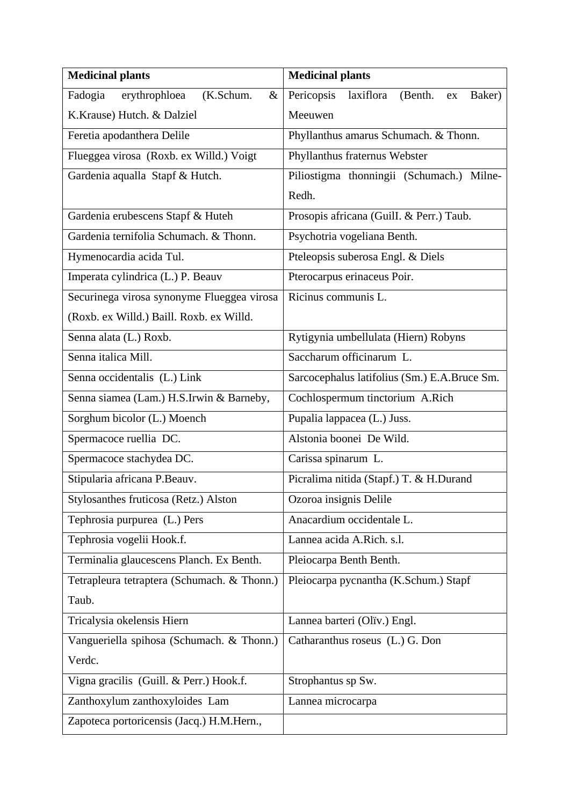| <b>Medicinal plants</b>                       | <b>Medicinal plants</b>                             |
|-----------------------------------------------|-----------------------------------------------------|
| Fadogia<br>(K.Schum.<br>erythrophloea<br>$\&$ | Pericopsis<br>laxiflora<br>(Benth.)<br>Baker)<br>ex |
| K.Krause) Hutch. & Dalziel                    | Meeuwen                                             |
| Feretia apodanthera Delile                    | Phyllanthus amarus Schumach. & Thonn.               |
| Flueggea virosa (Roxb. ex Willd.) Voigt       | Phyllanthus fraternus Webster                       |
| Gardenia aqualla Stapf & Hutch.               | Piliostigma thonningii (Schumach.) Milne-           |
|                                               | Redh.                                               |
| Gardenia erubescens Stapf & Huteh             | Prosopis africana (GuilI. & Perr.) Taub.            |
| Gardenia ternifolia Schumach. & Thonn.        | Psychotria vogeliana Benth.                         |
| Hymenocardia acida Tul.                       | Pteleopsis suberosa Engl. & Diels                   |
| Imperata cylindrica (L.) P. Beauv             | Pterocarpus erinaceus Poir.                         |
| Securinega virosa synonyme Flueggea virosa    | Ricinus communis L.                                 |
| (Roxb. ex Willd.) Baill. Roxb. ex Willd.      |                                                     |
| Senna alata (L.) Roxb.                        | Rytigynia umbellulata (Hiern) Robyns                |
| Senna italica Mill.                           | Saccharum officinarum L.                            |
| Senna occidentalis (L.) Link                  | Sarcocephalus latifolius (Sm.) E.A.Bruce Sm.        |
| Senna siamea (Lam.) H.S.Irwin & Barneby,      | Cochlospermum tinctorium A.Rich                     |
| Sorghum bicolor (L.) Moench                   | Pupalia lappacea (L.) Juss.                         |
| Spermacoce ruellia DC.                        | Alstonia boonei De Wild.                            |
| Spermacoce stachydea DC.                      | Carissa spinarum L.                                 |
| Stipularia africana P.Beauv.                  | Picralima nitida (Stapf.) T. & H.Durand             |
| Stylosanthes fruticosa (Retz.) Alston         | Ozoroa insignis Delile                              |
| Tephrosia purpurea (L.) Pers                  | Anacardium occidentale L.                           |
| Tephrosia vogelii Hook.f.                     | Lannea acida A.Rich. s.l.                           |
| Terminalia glaucescens Planch. Ex Benth.      | Pleiocarpa Benth Benth.                             |
| Tetrapleura tetraptera (Schumach. & Thonn.)   | Pleiocarpa pycnantha (K.Schum.) Stapf               |
| Taub.                                         |                                                     |
| Tricalysia okelensis Hiern                    | Lannea barteri (Oliv.) Engl.                        |
| Vangueriella spihosa (Schumach. & Thonn.)     | Catharanthus roseus (L.) G. Don                     |
| Verdc.                                        |                                                     |
| Vigna gracilis (Guill. & Perr.) Hook.f.       | Strophantus sp Sw.                                  |
| Zanthoxylum zanthoxyloides Lam                | Lannea microcarpa                                   |
| Zapoteca portoricensis (Jacq.) H.M.Hern.,     |                                                     |